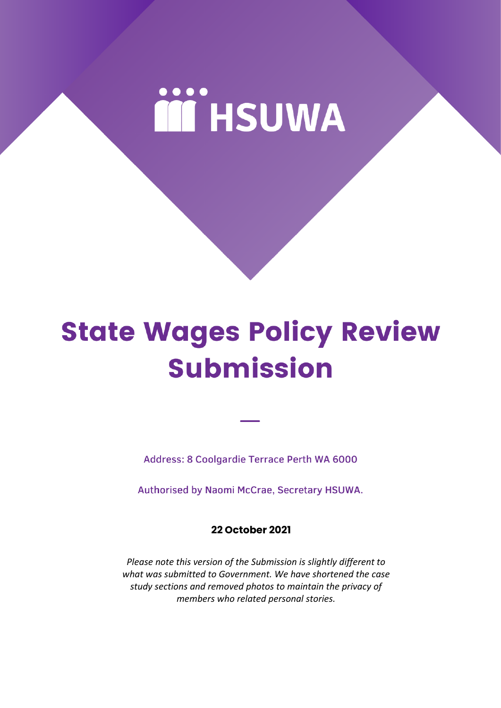# **iii** HSUWA

## **State Wages Policy Review Submission**

Address: 8 Coolgardie Terrace Perth WA 6000

Authorised by Naomi McCrae, Secretary HSUWA.

**22 October 2021**

*Please note this version of the Submission is slightly different to what was submitted to Government. We have shortened the case study sections and removed photos to maintain the privacy of members who related personal stories.*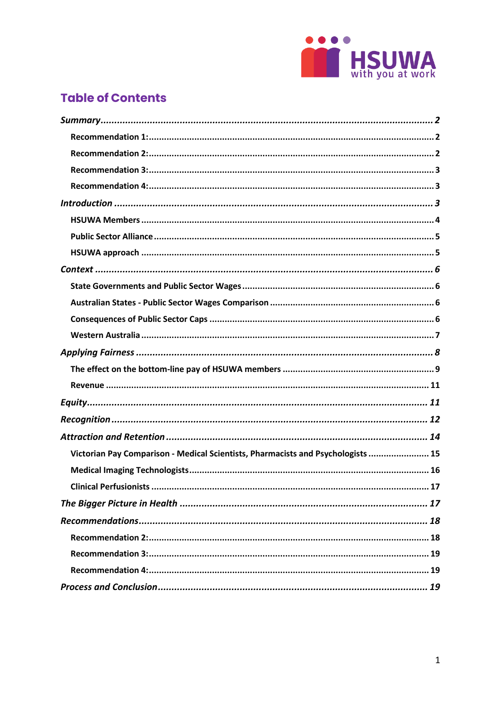

## **Table of Contents**

| Victorian Pay Comparison - Medical Scientists, Pharmacists and Psychologists  15 |
|----------------------------------------------------------------------------------|
|                                                                                  |
|                                                                                  |
|                                                                                  |
|                                                                                  |
|                                                                                  |
|                                                                                  |
|                                                                                  |
|                                                                                  |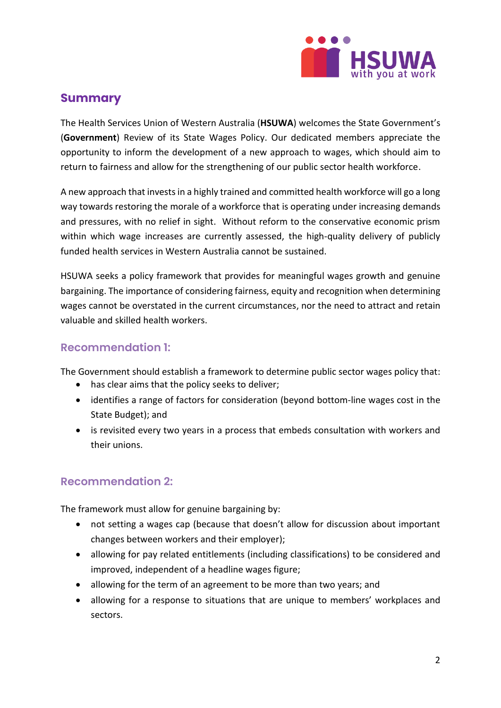

## <span id="page-2-0"></span>**Summary**

The Health Services Union of Western Australia (**HSUWA**) welcomes the State Government's (**Government**) Review of its State Wages Policy. Our dedicated members appreciate the opportunity to inform the development of a new approach to wages, which should aim to return to fairness and allow for the strengthening of our public sector health workforce.

A new approach that invests in a highly trained and committed health workforce will go a long way towards restoring the morale of a workforce that is operating under increasing demands and pressures, with no relief in sight. Without reform to the conservative economic prism within which wage increases are currently assessed, the high-quality delivery of publicly funded health services in Western Australia cannot be sustained.

HSUWA seeks a policy framework that provides for meaningful wages growth and genuine bargaining. The importance of considering fairness, equity and recognition when determining wages cannot be overstated in the current circumstances, nor the need to attract and retain valuable and skilled health workers.

#### <span id="page-2-1"></span>**Recommendation 1:**

The Government should establish a framework to determine public sector wages policy that:

- has clear aims that the policy seeks to deliver;
- identifies a range of factors for consideration (beyond bottom-line wages cost in the State Budget); and
- is revisited every two years in a process that embeds consultation with workers and their unions.

## <span id="page-2-2"></span>**Recommendation 2:**

The framework must allow for genuine bargaining by:

- not setting a wages cap (because that doesn't allow for discussion about important changes between workers and their employer);
- allowing for pay related entitlements (including classifications) to be considered and improved, independent of a headline wages figure;
- allowing for the term of an agreement to be more than two years; and
- allowing for a response to situations that are unique to members' workplaces and sectors.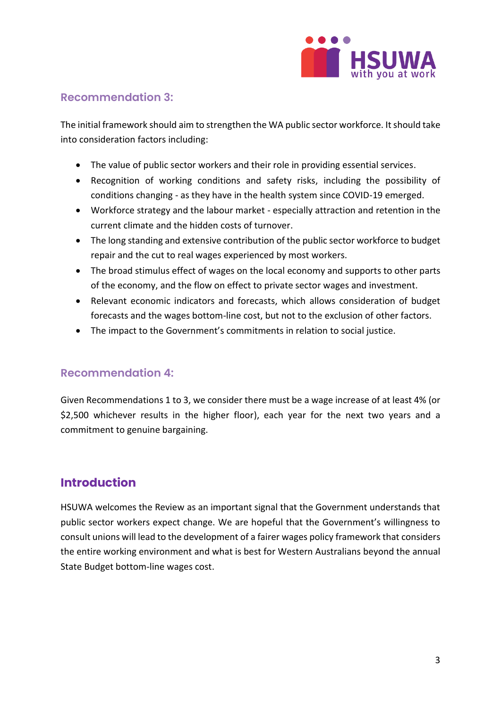

## <span id="page-3-0"></span>**Recommendation 3:**

The initial framework should aim to strengthen the WA public sector workforce. It should take into consideration factors including:

- The value of public sector workers and their role in providing essential services.
- Recognition of working conditions and safety risks, including the possibility of conditions changing - as they have in the health system since COVID-19 emerged.
- Workforce strategy and the labour market especially attraction and retention in the current climate and the hidden costs of turnover.
- The long standing and extensive contribution of the public sector workforce to budget repair and the cut to real wages experienced by most workers.
- The broad stimulus effect of wages on the local economy and supports to other parts of the economy, and the flow on effect to private sector wages and investment.
- Relevant economic indicators and forecasts, which allows consideration of budget forecasts and the wages bottom-line cost, but not to the exclusion of other factors.
- The impact to the Government's commitments in relation to social justice.

#### <span id="page-3-1"></span>**Recommendation 4:**

Given Recommendations 1 to 3, we consider there must be a wage increase of at least 4% (or \$2,500 whichever results in the higher floor), each year for the next two years and a commitment to genuine bargaining.

## <span id="page-3-2"></span>**Introduction**

HSUWA welcomes the Review as an important signal that the Government understands that public sector workers expect change. We are hopeful that the Government's willingness to consult unions will lead to the development of a fairer wages policy framework that considers the entire working environment and what is best for Western Australians beyond the annual State Budget bottom-line wages cost.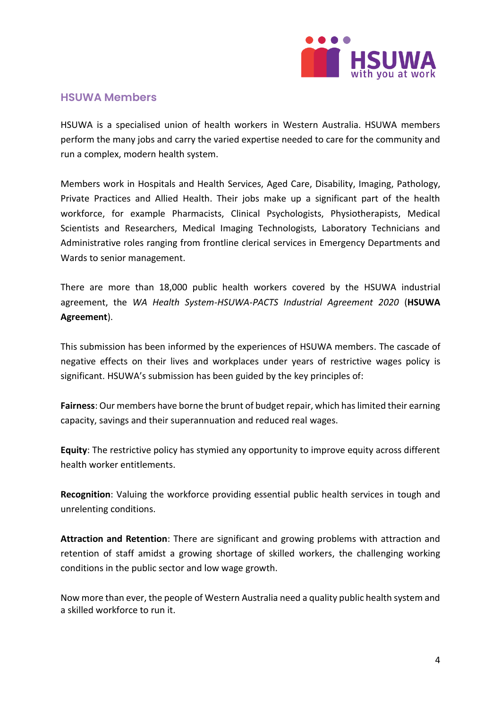

#### <span id="page-4-0"></span>**HSUWA Members**

HSUWA is a specialised union of health workers in Western Australia. HSUWA members perform the many jobs and carry the varied expertise needed to care for the community and run a complex, modern health system.

Members work in Hospitals and Health Services, Aged Care, Disability, Imaging, Pathology, Private Practices and Allied Health. Their jobs make up a significant part of the health workforce, for example Pharmacists, Clinical Psychologists, Physiotherapists, Medical Scientists and Researchers, Medical Imaging Technologists, Laboratory Technicians and Administrative roles ranging from frontline clerical services in Emergency Departments and Wards to senior management.

There are more than 18,000 public health workers covered by the HSUWA industrial agreement, the *WA Health System-HSUWA-PACTS Industrial Agreement 2020* (**HSUWA Agreement**).

This submission has been informed by the experiences of HSUWA members. The cascade of negative effects on their lives and workplaces under years of restrictive wages policy is significant. HSUWA's submission has been guided by the key principles of:

**Fairness**: Our members have borne the brunt of budget repair, which has limited their earning capacity, savings and their superannuation and reduced real wages.

**Equity**: The restrictive policy has stymied any opportunity to improve equity across different health worker entitlements.

**Recognition**: Valuing the workforce providing essential public health services in tough and unrelenting conditions.

**Attraction and Retention**: There are significant and growing problems with attraction and retention of staff amidst a growing shortage of skilled workers, the challenging working conditions in the public sector and low wage growth.

Now more than ever, the people of Western Australia need a quality public health system and a skilled workforce to run it.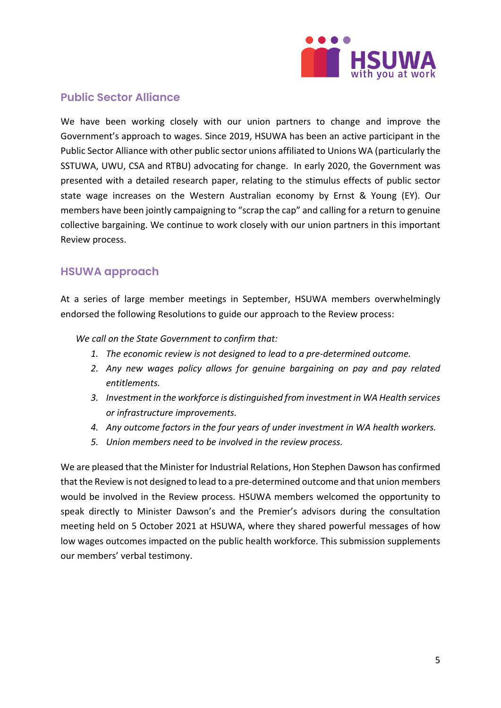

## <span id="page-5-0"></span>**Public Sector Alliance**

We have been working closely with our union partners to change and improve the Government's approach to wages. Since 2019, HSUWA has been an active participant in the Public Sector Alliance with other public sector unions affiliated to Unions WA (particularly the SSTUWA, UWU, CSA and RTBU) advocating for change. In early 2020, the Government was presented with a detailed research paper, relating to the stimulus effects of public sector state wage increases on the Western Australian economy by Ernst & Young (EY). Our members have been jointly campaigning to "scrap the cap" and calling for a return to genuine collective bargaining. We continue to work closely with our union partners in this important Review process.

## <span id="page-5-1"></span>**HSUWA approach**

At a series of large member meetings in September, HSUWA members overwhelmingly endorsed the following Resolutions to guide our approach to the Review process:

*We call on the State Government to confirm that:*

- *1. The economic review is not designed to lead to a pre-determined outcome.*
- *2. Any new wages policy allows for genuine bargaining on pay and pay related entitlements.*
- *3. Investment in the workforce is distinguished from investment in WA Health services or infrastructure improvements.*
- *4. Any outcome factors in the four years of under investment in WA health workers.*
- *5. Union members need to be involved in the review process.*

We are pleased that the Minister for Industrial Relations, Hon Stephen Dawson has confirmed that the Review is not designed to lead to a pre-determined outcome and that union members would be involved in the Review process. HSUWA members welcomed the opportunity to speak directly to Minister Dawson's and the Premier's advisors during the consultation meeting held on 5 October 2021 at HSUWA, where they shared powerful messages of how low wages outcomes impacted on the public health workforce. This submission supplements our members' verbal testimony.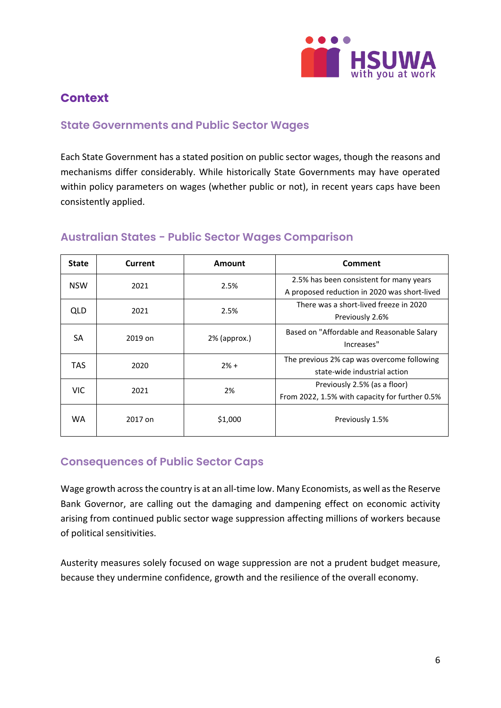

## <span id="page-6-0"></span>**Context**

## <span id="page-6-1"></span>**State Governments and Public Sector Wages**

Each State Government has a stated position on public sector wages, though the reasons and mechanisms differ considerably. While historically State Governments may have operated within policy parameters on wages (whether public or not), in recent years caps have been consistently applied.

| <b>State</b> | Current | Amount       | Comment                                                                                 |  |
|--------------|---------|--------------|-----------------------------------------------------------------------------------------|--|
| <b>NSW</b>   | 2021    | 2.5%         | 2.5% has been consistent for many years<br>A proposed reduction in 2020 was short-lived |  |
| QLD.         | 2021    | 2.5%         | There was a short-lived freeze in 2020<br>Previously 2.6%                               |  |
| <b>SA</b>    | 2019 on | 2% (approx.) | Based on "Affordable and Reasonable Salary<br>Increases"                                |  |
| TAS.         | 2020    | $2% +$       | The previous 2% cap was overcome following<br>state-wide industrial action              |  |
| <b>VIC</b>   | 2021    | 2%           | Previously 2.5% (as a floor)<br>From 2022, 1.5% with capacity for further 0.5%          |  |
| WA.          | 2017 on | \$1,000      | Previously 1.5%                                                                         |  |

## <span id="page-6-2"></span>**Australian States - Public Sector Wages Comparison**

## <span id="page-6-3"></span>**Consequences of Public Sector Caps**

Wage growth across the country is at an all-time low. Many Economists, as well as the Reserve Bank Governor, are calling out the damaging and dampening effect on economic activity arising from continued public sector wage suppression affecting millions of workers because of political sensitivities.

Austerity measures solely focused on wage suppression are not a prudent budget measure, because they undermine confidence, growth and the resilience of the overall economy.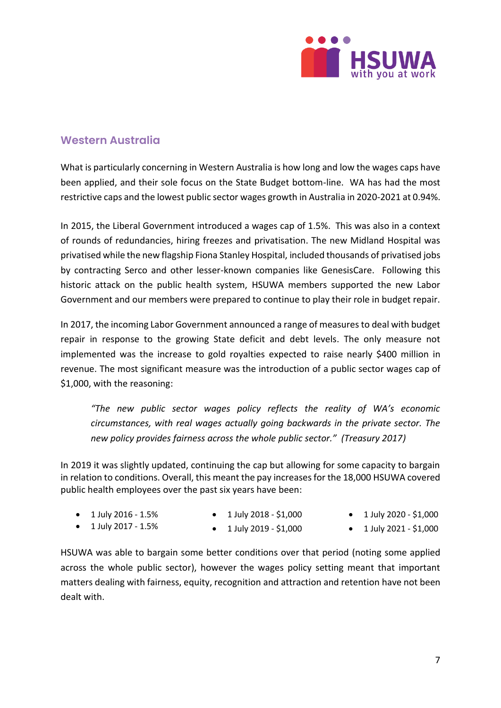

## <span id="page-7-0"></span>**Western Australia**

What is particularly concerning in Western Australia is how long and low the wages caps have been applied, and their sole focus on the State Budget bottom-line. WA has had the most restrictive caps and the lowest public sector wages growth in Australia in 2020-2021 at 0.94%.

In 2015, the Liberal Government introduced a wages cap of 1.5%. This was also in a context of rounds of redundancies, hiring freezes and privatisation. The new Midland Hospital was privatised while the new flagship Fiona Stanley Hospital, included thousands of privatised jobs by contracting Serco and other lesser-known companies like GenesisCare. Following this historic attack on the public health system, HSUWA members supported the new Labor Government and our members were prepared to continue to play their role in budget repair.

In 2017, the incoming Labor Government announced a range of measures to deal with budget repair in response to the growing State deficit and debt levels. The only measure not implemented was the increase to gold royalties expected to raise nearly \$400 million in revenue. The most significant measure was the introduction of a public sector wages cap of \$1,000, with the reasoning:

*"The new public sector wages policy reflects the reality of WA's economic circumstances, with real wages actually going backwards in the private sector. The new policy provides fairness across the whole public sector." (Treasury 2017)*

In 2019 it was slightly updated, continuing the cap but allowing for some capacity to bargain in relation to conditions. Overall, this meant the pay increases for the 18,000 HSUWA covered public health employees over the past six years have been:

| $\bullet$ 1 July 2016 - 1.5% | $\bullet$ 1 July 2018 - \$1,000 | $\bullet$ 1 July 2020 - \$1,000 |
|------------------------------|---------------------------------|---------------------------------|
| $\bullet$ 1 July 2017 - 1.5% | $\bullet$ 1 July 2019 - \$1,000 | $\bullet$ 1 July 2021 - \$1,000 |

HSUWA was able to bargain some better conditions over that period (noting some applied across the whole public sector), however the wages policy setting meant that important matters dealing with fairness, equity, recognition and attraction and retention have not been dealt with.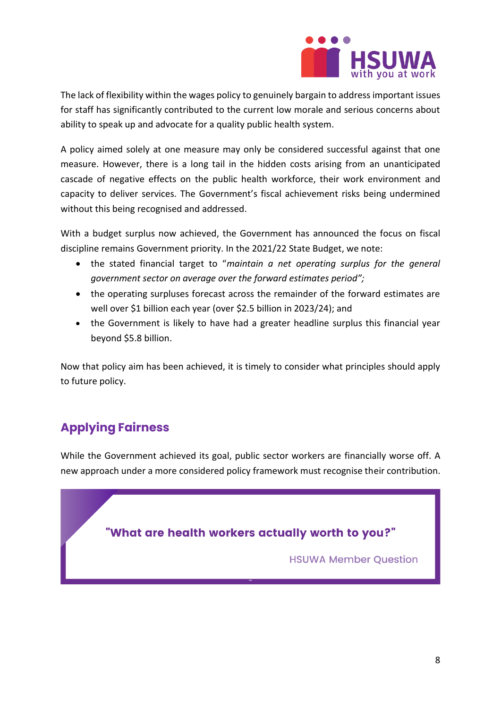

The lack of flexibility within the wages policy to genuinely bargain to address important issues for staff has significantly contributed to the current low morale and serious concerns about ability to speak up and advocate for a quality public health system.

A policy aimed solely at one measure may only be considered successful against that one measure. However, there is a long tail in the hidden costs arising from an unanticipated cascade of negative effects on the public health workforce, their work environment and capacity to deliver services. The Government's fiscal achievement risks being undermined without this being recognised and addressed.

With a budget surplus now achieved, the Government has announced the focus on fiscal discipline remains Government priority. In the 2021/22 State Budget, we note:

- the stated financial target to "*maintain a net operating surplus for the general government sector on average over the forward estimates period";*
- the operating surpluses forecast across the remainder of the forward estimates are well over \$1 billion each year (over \$2.5 billion in 2023/24); and
- the Government is likely to have had a greater headline surplus this financial year beyond \$5.8 billion.

Now that policy aim has been achieved, it is timely to consider what principles should apply to future policy.

## <span id="page-8-0"></span>**Applying Fairness**

While the Government achieved its goal, public sector workers are financially worse off. A new approach under a more considered policy framework must recognise their contribution.

## "What are health workers actually worth to you?"

**HSUWA Member Question**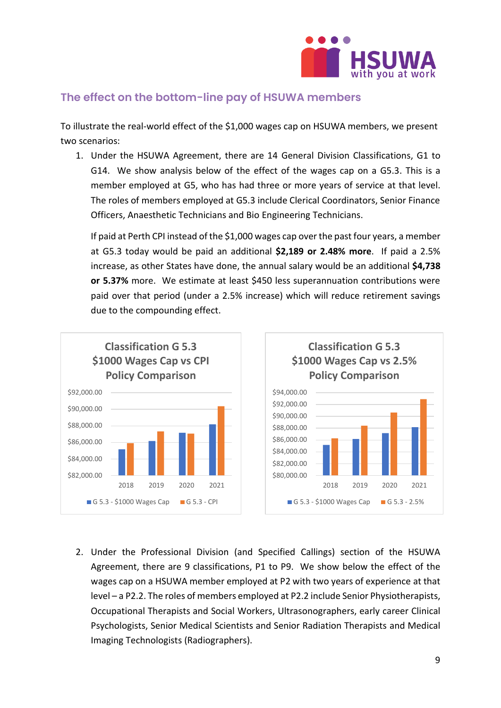

## <span id="page-9-0"></span>**The effect on the bottom-line pay of HSUWA members**

To illustrate the real-world effect of the \$1,000 wages cap on HSUWA members, we present two scenarios:

1. Under the HSUWA Agreement, there are 14 General Division Classifications, G1 to G14. We show analysis below of the effect of the wages cap on a G5.3. This is a member employed at G5, who has had three or more years of service at that level. The roles of members employed at G5.3 include Clerical Coordinators, Senior Finance Officers, Anaesthetic Technicians and Bio Engineering Technicians.

If paid at Perth CPI instead of the \$1,000 wages cap over the past four years, a member at G5.3 today would be paid an additional **\$2,189 or 2.48% more**. If paid a 2.5% increase, as other States have done, the annual salary would be an additional **\$4,738 or 5.37%** more. We estimate at least \$450 less superannuation contributions were paid over that period (under a 2.5% increase) which will reduce retirement savings due to the compounding effect.



2. Under the Professional Division (and Specified Callings) section of the HSUWA Agreement, there are 9 classifications, P1 to P9. We show below the effect of the wages cap on a HSUWA member employed at P2 with two years of experience at that level – a P2.2. The roles of members employed at P2.2 include Senior Physiotherapists, Occupational Therapists and Social Workers, Ultrasonographers, early career Clinical Psychologists, Senior Medical Scientists and Senior Radiation Therapists and Medical Imaging Technologists (Radiographers).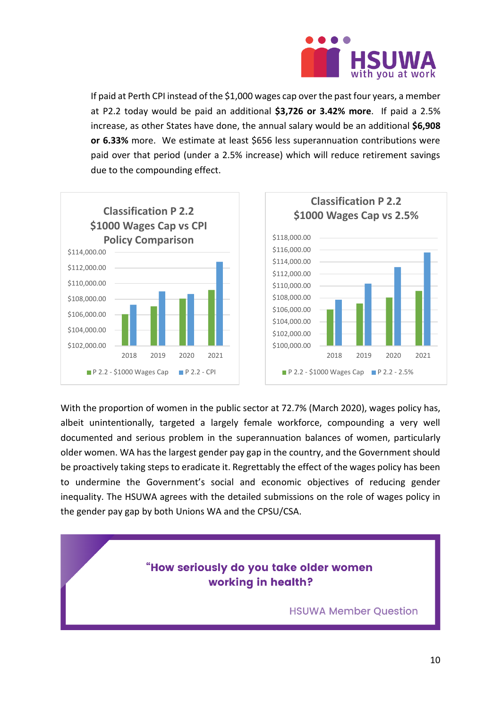

If paid at Perth CPI instead of the \$1,000 wages cap over the past four years, a member at P2.2 today would be paid an additional **\$3,726 or 3.42% more**. If paid a 2.5% increase, as other States have done, the annual salary would be an additional **\$6,908 or 6.33%** more. We estimate at least \$656 less superannuation contributions were paid over that period (under a 2.5% increase) which will reduce retirement savings due to the compounding effect.



With the proportion of women in the public sector at 72.7% (March 2020), wages policy has, albeit unintentionally, targeted a largely female workforce, compounding a very well documented and serious problem in the superannuation balances of women, particularly older women. WA has the largest gender pay gap in the country, and the Government should be proactively taking steps to eradicate it. Regrettably the effect of the wages policy has been to undermine the Government's social and economic objectives of reducing gender inequality. The HSUWA agrees with the detailed submissions on the role of wages policy in the gender pay gap by both Unions WA and the CPSU/CSA.

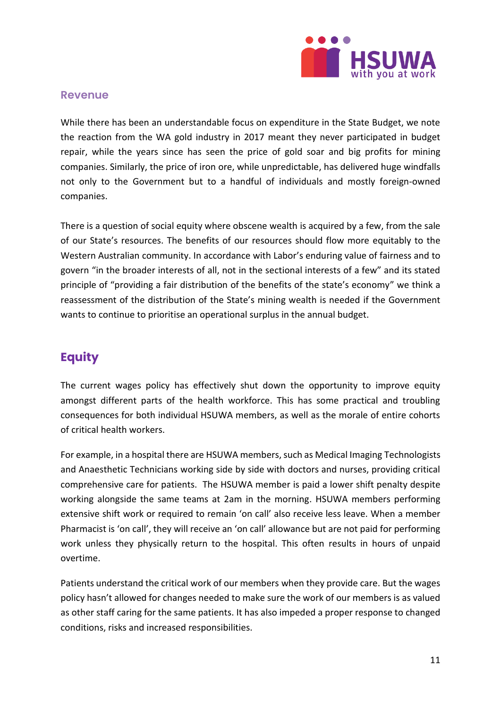

#### <span id="page-11-0"></span>**Revenue**

While there has been an understandable focus on expenditure in the State Budget, we note the reaction from the WA gold industry in 2017 meant they never participated in budget repair, while the years since has seen the price of gold soar and big profits for mining companies. Similarly, the price of iron ore, while unpredictable, has delivered huge windfalls not only to the Government but to a handful of individuals and mostly foreign-owned companies.

There is a question of social equity where obscene wealth is acquired by a few, from the sale of our State's resources. The benefits of our resources should flow more equitably to the Western Australian community. In accordance with Labor's enduring value of fairness and to govern "in the broader interests of all, not in the sectional interests of a few" and its stated principle of "providing a fair distribution of the benefits of the state's economy" we think a reassessment of the distribution of the State's mining wealth is needed if the Government wants to continue to prioritise an operational surplus in the annual budget.

## <span id="page-11-1"></span>**Equity**

The current wages policy has effectively shut down the opportunity to improve equity amongst different parts of the health workforce. This has some practical and troubling consequences for both individual HSUWA members, as well as the morale of entire cohorts of critical health workers.

For example, in a hospital there are HSUWA members, such as Medical Imaging Technologists and Anaesthetic Technicians working side by side with doctors and nurses, providing critical comprehensive care for patients. The HSUWA member is paid a lower shift penalty despite working alongside the same teams at 2am in the morning. HSUWA members performing extensive shift work or required to remain 'on call' also receive less leave. When a member Pharmacist is 'on call', they will receive an 'on call' allowance but are not paid for performing work unless they physically return to the hospital. This often results in hours of unpaid overtime.

Patients understand the critical work of our members when they provide care. But the wages policy hasn't allowed for changes needed to make sure the work of our members is as valued as other staff caring for the same patients. It has also impeded a proper response to changed conditions, risks and increased responsibilities.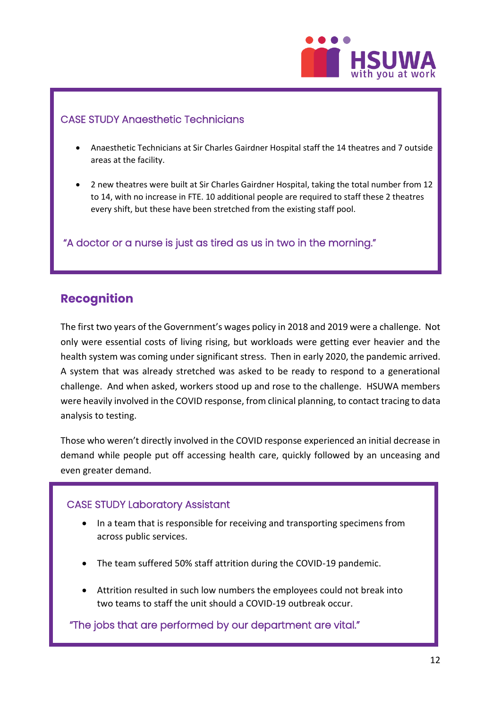

#### CASE STUDY Anaesthetic Technicians

- Anaesthetic Technicians at Sir Charles Gairdner Hospital staff the 14 theatres and 7 outside areas at the facility.
- 2 new theatres were built at Sir Charles Gairdner Hospital, taking the total number from 12 to 14, with no increase in FTE. 10 additional people are required to staff these 2 theatres every shift, but these have been stretched from the existing staff pool.

"A doctor or a nurse is just as tired as us in two in the morning."

## <span id="page-12-0"></span>**Recognition**

The first two years of the Government's wages policy in 2018 and 2019 were a challenge. Not only were essential costs of living rising, but workloads were getting ever heavier and the health system was coming under significant stress. Then in early 2020, the pandemic arrived. A system that was already stretched was asked to be ready to respond to a generational challenge. And when asked, workers stood up and rose to the challenge. HSUWA members were heavily involved in the COVID response, from clinical planning, to contact tracing to data analysis to testing.

Those who weren't directly involved in the COVID response experienced an initial decrease in demand while people put off accessing health care, quickly followed by an unceasing and even greater demand.

#### CASE STUDY Laboratory Assistant

- In a team that is responsible for receiving and transporting specimens from across public services.
- The team suffered 50% staff attrition during the COVID-19 pandemic.
- Attrition resulted in such low numbers the employees could not break into two teams to staff the unit should a COVID-19 outbreak occur.

"The jobs that are performed by our department are vital."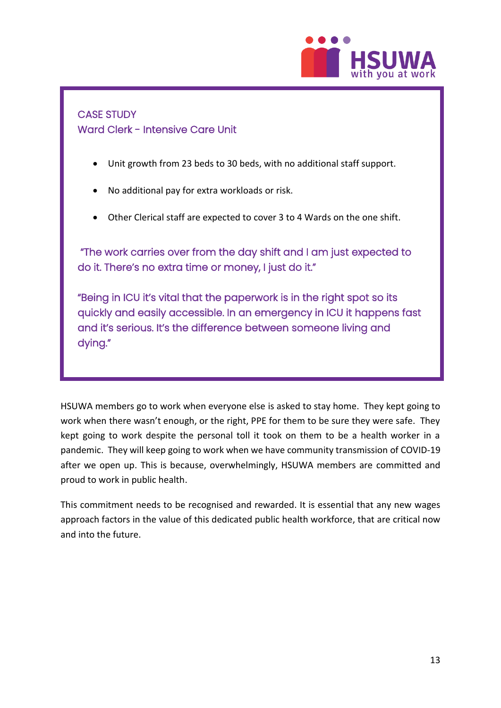

## CASE STUDY Ward Clerk - Intensive Care Unit

- Unit growth from 23 beds to 30 beds, with no additional staff support.
- No additional pay for extra workloads or risk.
- Other Clerical staff are expected to cover 3 to 4 Wards on the one shift.

 "The work carries over from the day shift and I am just expected to do it. There's no extra time or money, I just do it."

"Being in ICU it's vital that the paperwork is in the right spot so its quickly and easily accessible. In an emergency in ICU it happens fast and it's serious. It's the difference between someone living and dying."

HSUWA members go to work when everyone else is asked to stay home. They kept going to work when there wasn't enough, or the right, PPE for them to be sure they were safe. They kept going to work despite the personal toll it took on them to be a health worker in a pandemic. They will keep going to work when we have community transmission of COVID-19 after we open up. This is because, overwhelmingly, HSUWA members are committed and proud to work in public health.

This commitment needs to be recognised and rewarded. It is essential that any new wages approach factors in the value of this dedicated public health workforce, that are critical now and into the future.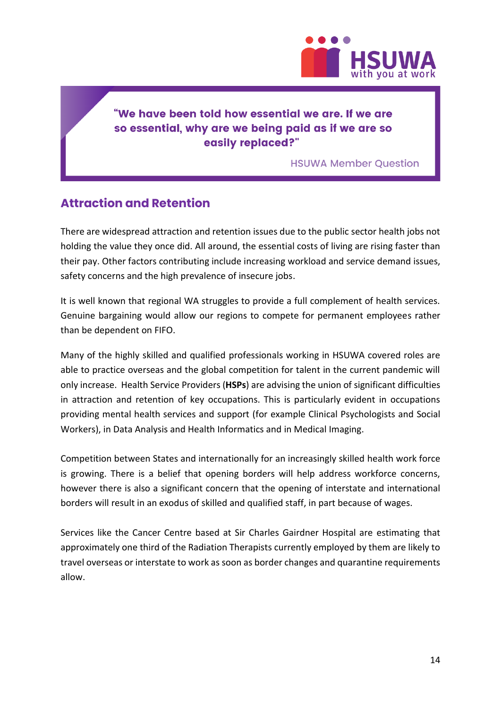

## "We have been told how essential we are. If we are so essential, why are we being paid as if we are so easily replaced?"

**HSUWA Member Question** 

## <span id="page-14-0"></span>**Attraction and Retention**

There are widespread attraction and retention issues due to the public sector health jobs not holding the value they once did. All around, the essential costs of living are rising faster than their pay. Other factors contributing include increasing workload and service demand issues, safety concerns and the high prevalence of insecure jobs.

It is well known that regional WA struggles to provide a full complement of health services. Genuine bargaining would allow our regions to compete for permanent employees rather than be dependent on FIFO.

Many of the highly skilled and qualified professionals working in HSUWA covered roles are able to practice overseas and the global competition for talent in the current pandemic will only increase. Health Service Providers (**HSPs**) are advising the union of significant difficulties in attraction and retention of key occupations. This is particularly evident in occupations providing mental health services and support (for example Clinical Psychologists and Social Workers), in Data Analysis and Health Informatics and in Medical Imaging.

Competition between States and internationally for an increasingly skilled health work force is growing. There is a belief that opening borders will help address workforce concerns, however there is also a significant concern that the opening of interstate and international borders will result in an exodus of skilled and qualified staff, in part because of wages.

Services like the Cancer Centre based at Sir Charles Gairdner Hospital are estimating that approximately one third of the Radiation Therapists currently employed by them are likely to travel overseas or interstate to work as soon as border changes and quarantine requirements allow.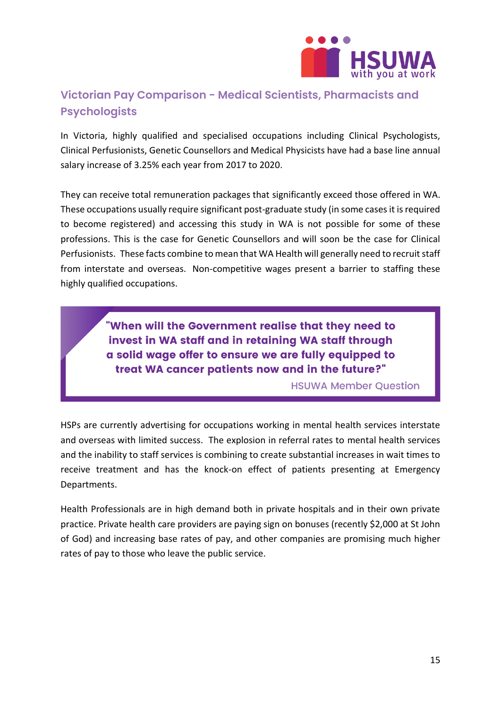

## <span id="page-15-0"></span>**Victorian Pay Comparison - Medical Scientists, Pharmacists and Psychologists**

In Victoria, highly qualified and specialised occupations including Clinical Psychologists, Clinical Perfusionists, Genetic Counsellors and Medical Physicists have had a base line annual salary increase of 3.25% each year from 2017 to 2020.

They can receive total remuneration packages that significantly exceed those offered in WA. These occupations usually require significant post-graduate study (in some cases it is required to become registered) and accessing this study in WA is not possible for some of these professions. This is the case for Genetic Counsellors and will soon be the case for Clinical Perfusionists. These facts combine to mean that WA Health will generally need to recruit staff from interstate and overseas. Non-competitive wages present a barrier to staffing these highly qualified occupations.

> "When will the Government realise that they need to invest in WA staff and in retaining WA staff through a solid wage offer to ensure we are fully equipped to treat WA cancer patients now and in the future?"

> > **HSUWA Member Question**

HSPs are currently advertising for occupations working in mental health services interstate and overseas with limited success. The explosion in referral rates to mental health services and the inability to staff services is combining to create substantial increases in wait times to receive treatment and has the knock-on effect of patients presenting at Emergency Departments.

Health Professionals are in high demand both in private hospitals and in their own private practice. Private health care providers are paying sign on bonuses (recently \$2,000 at St John of God) and increasing base rates of pay, and other companies are promising much higher rates of pay to those who leave the public service.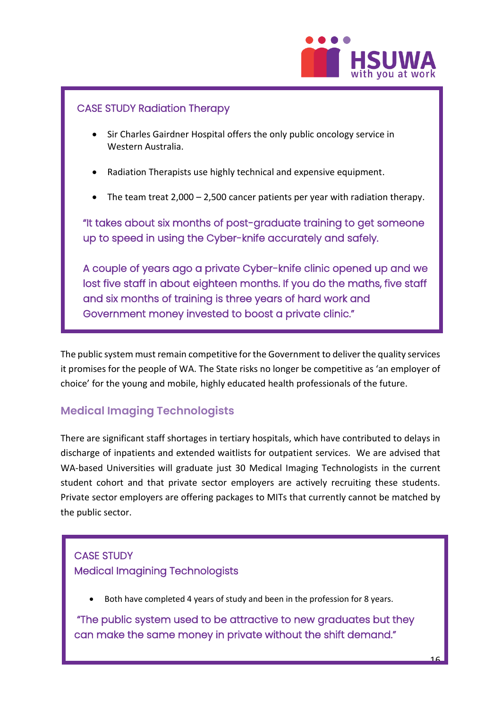

#### CASE STUDY Radiation Therapy

- Sir Charles Gairdner Hospital offers the only public oncology service in Western Australia.
- Radiation Therapists use highly technical and expensive equipment.
- The team treat 2,000 2,500 cancer patients per year with radiation therapy.

"It takes about six months of post-graduate training to get someone up to speed in using the Cyber-knife accurately and safely.

A couple of years ago a private Cyber-knife clinic opened up and we lost five staff in about eighteen months. If you do the maths, five staff and six months of training is three years of hard work and Government money invested to boost a private clinic."

The public system must remain competitive for the Government to deliver the quality services it promises for the people of WA. The State risks no longer be competitive as 'an employer of choice' for the young and mobile, highly educated health professionals of the future.

## <span id="page-16-0"></span>**Medical Imaging Technologists**

There are significant staff shortages in tertiary hospitals, which have contributed to delays in discharge of inpatients and extended waitlists for outpatient services. We are advised that WA-based Universities will graduate just 30 Medical Imaging Technologists in the current student cohort and that private sector employers are actively recruiting these students. Private sector employers are offering packages to MITs that currently cannot be matched by the public sector.

## CASE STUDY Medical Imagining Technologists

• Both have completed 4 years of study and been in the profession for 8 years.

 "The public system used to be attractive to new graduates but they can make the same money in private without the shift demand."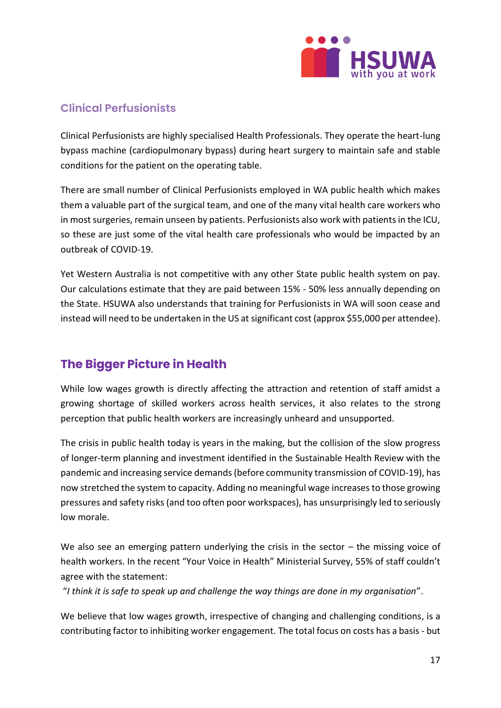

## <span id="page-17-0"></span>**Clinical Perfusionists**

Clinical Perfusionists are highly specialised Health Professionals. They operate the heart-lung bypass machine (cardiopulmonary bypass) during heart surgery to maintain safe and stable conditions for the patient on the operating table.

There are small number of Clinical Perfusionists employed in WA public health which makes them a valuable part of the surgical team, and one of the many vital health care workers who in most surgeries, remain unseen by patients. Perfusionists also work with patients in the ICU, so these are just some of the vital health care professionals who would be impacted by an outbreak of COVID-19.

Yet Western Australia is not competitive with any other State public health system on pay. Our calculations estimate that they are paid between 15% - 50% less annually depending on the State. HSUWA also understands that training for Perfusionists in WA will soon cease and instead will need to be undertaken in the US at significant cost (approx \$55,000 per attendee).

## <span id="page-17-1"></span>**The Bigger Picture in Health**

While low wages growth is directly affecting the attraction and retention of staff amidst a growing shortage of skilled workers across health services, it also relates to the strong perception that public health workers are increasingly unheard and unsupported.

The crisis in public health today is years in the making, but the collision of the slow progress of longer-term planning and investment identified in the Sustainable Health Review with the pandemic and increasing service demands (before community transmission of COVID-19), has now stretched the system to capacity. Adding no meaningful wage increases to those growing pressures and safety risks (and too often poor workspaces), has unsurprisingly led to seriously low morale.

We also see an emerging pattern underlying the crisis in the sector - the missing voice of health workers. In the recent "Your Voice in Health" Ministerial Survey, 55% of staff couldn't agree with the statement:

"*I think it is safe to speak up and challenge the way things are done in my organisation*".

We believe that low wages growth, irrespective of changing and challenging conditions, is a contributing factor to inhibiting worker engagement. The total focus on costs has a basis - but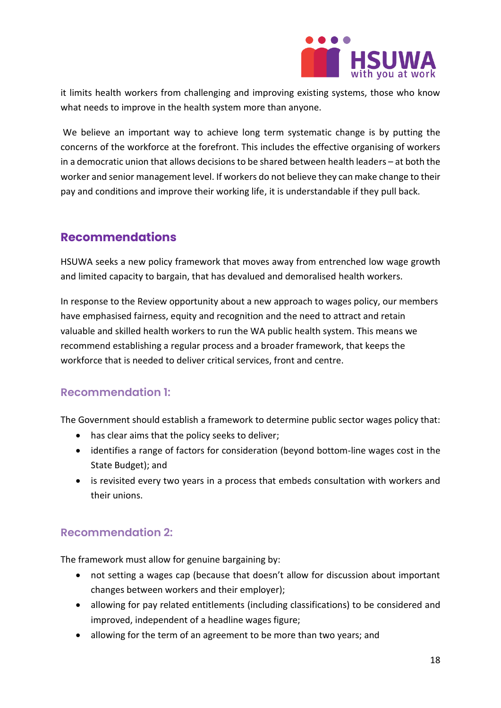

it limits health workers from challenging and improving existing systems, those who know what needs to improve in the health system more than anyone.

We believe an important way to achieve long term systematic change is by putting the concerns of the workforce at the forefront. This includes the effective organising of workers in a democratic union that allows decisions to be shared between health leaders – at both the worker and senior management level. If workers do not believe they can make change to their pay and conditions and improve their working life, it is understandable if they pull back.

## <span id="page-18-0"></span>**Recommendations**

HSUWA seeks a new policy framework that moves away from entrenched low wage growth and limited capacity to bargain, that has devalued and demoralised health workers.

In response to the Review opportunity about a new approach to wages policy, our members have emphasised fairness, equity and recognition and the need to attract and retain valuable and skilled health workers to run the WA public health system. This means we recommend establishing a regular process and a broader framework, that keeps the workforce that is needed to deliver critical services, front and centre.

## **Recommendation 1:**

The Government should establish a framework to determine public sector wages policy that:

- has clear aims that the policy seeks to deliver;
- identifies a range of factors for consideration (beyond bottom-line wages cost in the State Budget); and
- is revisited every two years in a process that embeds consultation with workers and their unions.

## <span id="page-18-1"></span>**Recommendation 2:**

The framework must allow for genuine bargaining by:

- not setting a wages cap (because that doesn't allow for discussion about important changes between workers and their employer);
- allowing for pay related entitlements (including classifications) to be considered and improved, independent of a headline wages figure;
- allowing for the term of an agreement to be more than two years; and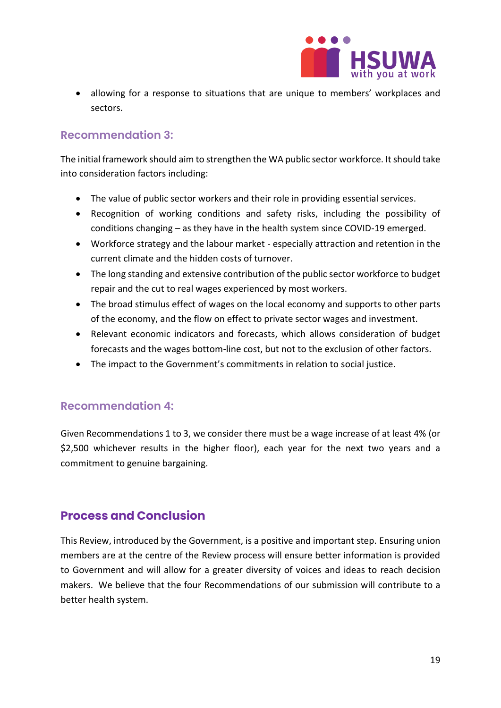

• allowing for a response to situations that are unique to members' workplaces and sectors.

#### <span id="page-19-0"></span>**Recommendation 3:**

The initial framework should aim to strengthen the WA public sector workforce. It should take into consideration factors including:

- The value of public sector workers and their role in providing essential services.
- Recognition of working conditions and safety risks, including the possibility of conditions changing – as they have in the health system since COVID-19 emerged.
- Workforce strategy and the labour market especially attraction and retention in the current climate and the hidden costs of turnover.
- The long standing and extensive contribution of the public sector workforce to budget repair and the cut to real wages experienced by most workers.
- The broad stimulus effect of wages on the local economy and supports to other parts of the economy, and the flow on effect to private sector wages and investment.
- Relevant economic indicators and forecasts, which allows consideration of budget forecasts and the wages bottom-line cost, but not to the exclusion of other factors.
- The impact to the Government's commitments in relation to social justice.

#### <span id="page-19-1"></span>**Recommendation 4:**

Given Recommendations 1 to 3, we consider there must be a wage increase of at least 4% (or \$2,500 whichever results in the higher floor), each year for the next two years and a commitment to genuine bargaining.

## <span id="page-19-2"></span>**Process and Conclusion**

This Review, introduced by the Government, is a positive and important step. Ensuring union members are at the centre of the Review process will ensure better information is provided to Government and will allow for a greater diversity of voices and ideas to reach decision makers. We believe that the four Recommendations of our submission will contribute to a better health system.